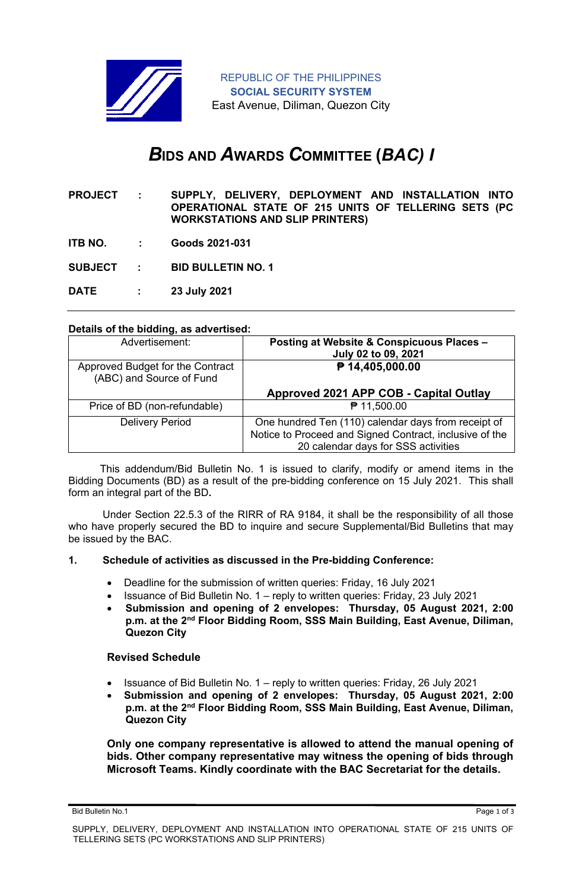

# *B***IDS AND** *A***WARDS** *C***OMMITTEE (***BAC) I*

- **PROJECT : SUPPLY, DELIVERY, DEPLOYMENT AND INSTALLATION INTO OPERATIONAL STATE OF 215 UNITS OF TELLERING SETS (PC WORKSTATIONS AND SLIP PRINTERS)**
- **ITB NO. : Goods 2021-031**

**SUBJECT : BID BULLETIN NO. 1**

**DATE : 23 July 2021**

## **Details of the bidding, as advertised:**

| Advertisement:                                               | Posting at Website & Conspicuous Places -<br>July 02 to 09, 2021 |
|--------------------------------------------------------------|------------------------------------------------------------------|
| Approved Budget for the Contract<br>(ABC) and Source of Fund | ₱ 14,405,000.00                                                  |
|                                                              | Approved 2021 APP COB - Capital Outlay                           |
| Price of BD (non-refundable)                                 | ₱ 11,500.00                                                      |
| <b>Delivery Period</b>                                       | One hundred Ten (110) calendar days from receipt of              |
|                                                              | Notice to Proceed and Signed Contract, inclusive of the          |
|                                                              | 20 calendar days for SSS activities                              |

 This addendum/Bid Bulletin No. 1 is issued to clarify, modify or amend items in the Bidding Documents (BD) as a result of the pre-bidding conference on 15 July 2021. This shall form an integral part of the BD**.**

Under Section 22.5.3 of the RIRR of RA 9184, it shall be the responsibility of all those who have properly secured the BD to inquire and secure Supplemental/Bid Bulletins that may be issued by the BAC.

#### **1. Schedule of activities as discussed in the Pre-bidding Conference:**

- Deadline for the submission of written queries: Friday, 16 July 2021
- Issuance of Bid Bulletin No. 1 reply to written queries: Friday, 23 July 2021
- **Submission and opening of 2 envelopes: Thursday, 05 August 2021, 2:00 p.m. at the 2nd Floor Bidding Room, SSS Main Building, East Avenue, Diliman, Quezon City**

## **Revised Schedule**

- Issuance of Bid Bulletin No. 1 reply to written queries: Friday, 26 July 2021
- **Submission and opening of 2 envelopes: Thursday, 05 August 2021, 2:00 p.m. at the 2nd Floor Bidding Room, SSS Main Building, East Avenue, Diliman, Quezon City**

**Only one company representative is allowed to attend the manual opening of bids. Other company representative may witness the opening of bids through Microsoft Teams. Kindly coordinate with the BAC Secretariat for the details.**

Bid Bulletin No.1 Page 1 of 3

SUPPLY, DELIVERY, DEPLOYMENT AND INSTALLATION INTO OPERATIONAL STATE OF 215 UNITS OF TELLERING SETS (PC WORKSTATIONS AND SLIP PRINTERS)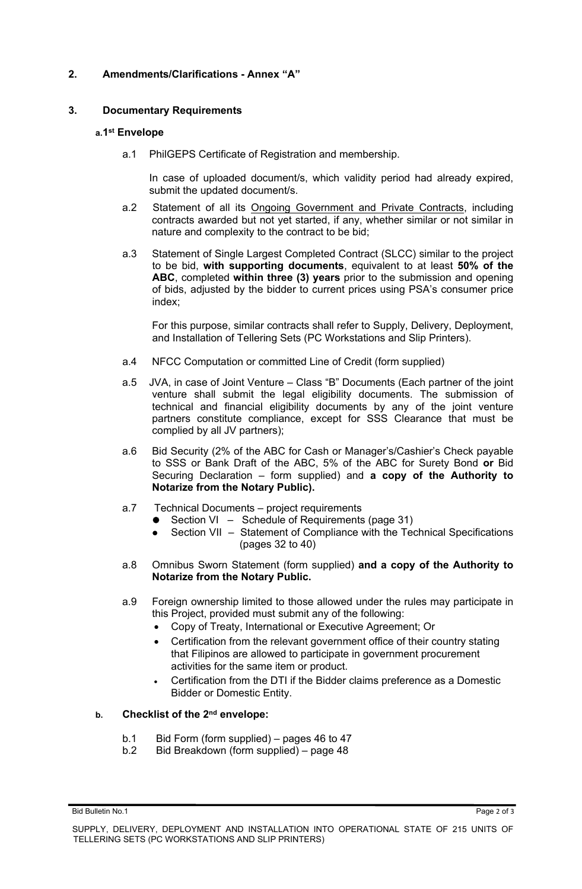## **2. Amendments/Clarifications - Annex "A"**

## **3. Documentary Requirements**

## **a.1 st Envelope**

a.1 PhilGEPS Certificate of Registration and membership.

In case of uploaded document/s, which validity period had already expired, submit the updated document/s.

- a.2 Statement of all its Ongoing Government and Private Contracts, including contracts awarded but not yet started, if any, whether similar or not similar in nature and complexity to the contract to be bid;
- a.3 Statement of Single Largest Completed Contract (SLCC) similar to the project to be bid, **with supporting documents**, equivalent to at least **50% of the ABC**, completed **within three (3) years** prior to the submission and opening of bids, adjusted by the bidder to current prices using PSA's consumer price index;

For this purpose, similar contracts shall refer to Supply, Delivery, Deployment, and Installation of Tellering Sets (PC Workstations and Slip Printers).

- a.4 NFCC Computation or committed Line of Credit (form supplied)
- a.5 JVA, in case of Joint Venture Class "B" Documents (Each partner of the joint venture shall submit the legal eligibility documents. The submission of technical and financial eligibility documents by any of the joint venture partners constitute compliance, except for SSS Clearance that must be complied by all JV partners);
- a.6 Bid Security (2% of the ABC for Cash or Manager's/Cashier's Check payable to SSS or Bank Draft of the ABC, 5% of the ABC for Surety Bond **or** Bid Securing Declaration – form supplied) and **a copy of the Authority to Notarize from the Notary Public).**
- a.7 Technical Documents project requirements
	- Section VI Schedule of Requirements (page 31)
	- Section VII Statement of Compliance with the Technical Specifications (pages 32 to 40)
- a.8 Omnibus Sworn Statement (form supplied) **and a copy of the Authority to Notarize from the Notary Public.**
- a.9 Foreign ownership limited to those allowed under the rules may participate in this Project, provided must submit any of the following:
	- Copy of Treaty, International or Executive Agreement; Or
	- Certification from the relevant government office of their country stating that Filipinos are allowed to participate in government procurement activities for the same item or product.
	- Certification from the DTI if the Bidder claims preference as a Domestic Bidder or Domestic Entity.

## **b. Checklist of the 2nd envelope:**

- b.1 Bid Form (form supplied) pages 46 to 47
- b.2 Bid Breakdown (form supplied) page 48

Bid Bulletin No.1 Page 2 of 3